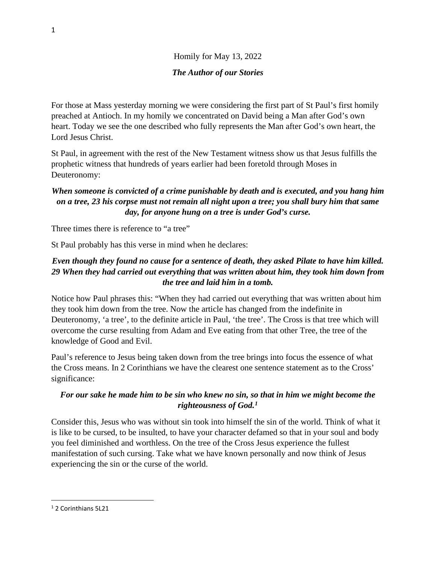# Homily for May 13, 2022 *The Author of our Stories*

For those at Mass yesterday morning we were considering the first part of St Paul's first homily preached at Antioch. In my homily we concentrated on David being a Man after God's own heart. Today we see the one described who fully represents the Man after God's own heart, the Lord Jesus Christ.

St Paul, in agreement with the rest of the New Testament witness show us that Jesus fulfills the prophetic witness that hundreds of years earlier had been foretold through Moses in Deuteronomy:

# *When someone is convicted of a crime punishable by death and is executed, and you hang him on a tree, 23 his corpse must not remain all night upon a tree; you shall bury him that same day, for anyone hung on a tree is under God's curse.*

Three times there is reference to "a tree"

St Paul probably has this verse in mind when he declares:

## *Even though they found no cause for a sentence of death, they asked Pilate to have him killed. 29 When they had carried out everything that was written about him, they took him down from the tree and laid him in a tomb.*

Notice how Paul phrases this: "When they had carried out everything that was written about him they took him down from the tree. Now the article has changed from the indefinite in Deuteronomy, 'a tree', to the definite article in Paul, 'the tree'. The Cross is that tree which will overcome the curse resulting from Adam and Eve eating from that other Tree, the tree of the knowledge of Good and Evil.

Paul's reference to Jesus being taken down from the tree brings into focus the essence of what the Cross means. In 2 Corinthians we have the clearest one sentence statement as to the Cross' significance:

#### *For our sake he made him to be sin who knew no sin, so that in him we might become the righteousness of God.[1](#page-0-0)*

Consider this, Jesus who was without sin took into himself the sin of the world. Think of what it is like to be cursed, to be insulted, to have your character defamed so that in your soul and body you feel diminished and worthless. On the tree of the Cross Jesus experience the fullest manifestation of such cursing. Take what we have known personally and now think of Jesus experiencing the sin or the curse of the world.

<span id="page-0-0"></span><sup>1</sup> 2 Corinthians 5L21